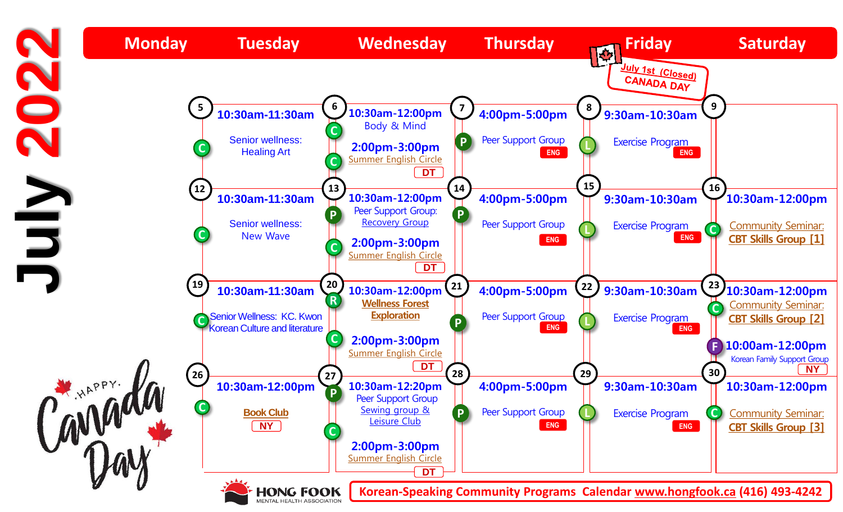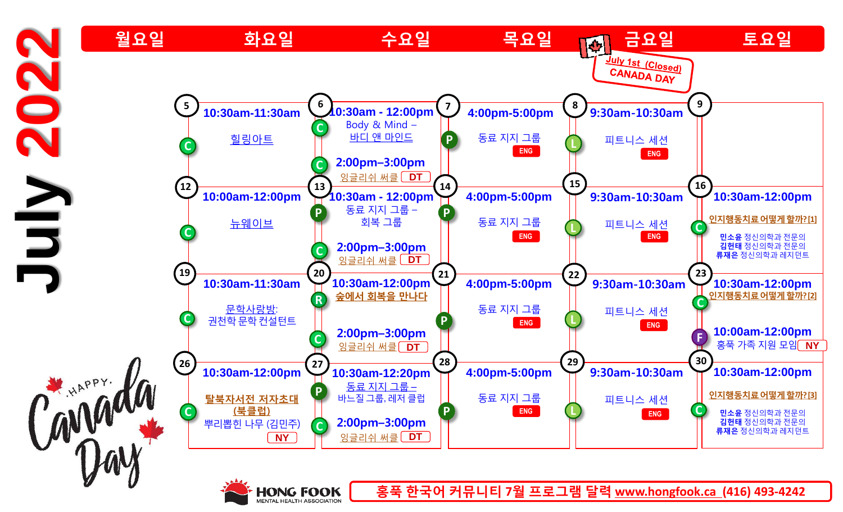



**홍푹 한국어 커뮤니티 7월 프로그램 달력 www.hongfook.ca (416) 493-4242**